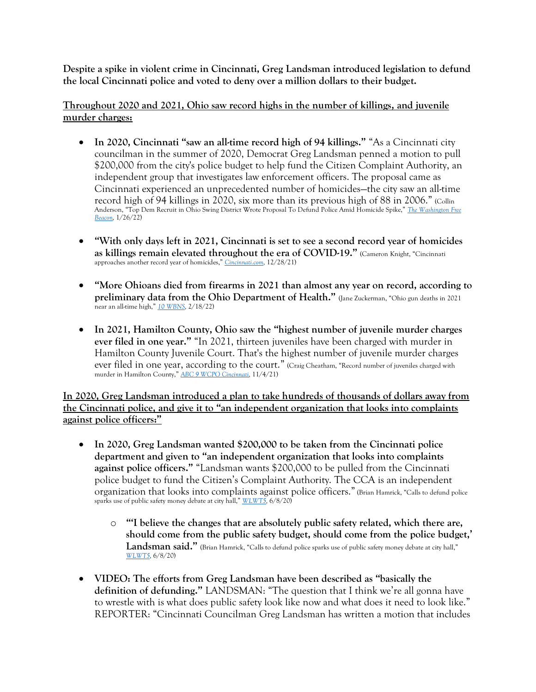**Despite a spike in violent crime in Cincinnati, Greg Landsman introduced legislation to defund the local Cincinnati police and voted to deny over a million dollars to their budget.**

**Throughout 2020 and 2021, Ohio saw record highs in the number of killings, and juvenile murder charges:** 

- In 2020, Cincinnati "saw an all-time record high of 94 killings." "As a Cincinnati city councilman in the summer of 2020, Democrat Greg Landsman penned a motion to pull \$200,000 from the city's police budget to help fund the Citizen Complaint Authority, an independent group that investigates law enforcement officers. The proposal came as Cincinnati experienced an unprecedented number of homicides—the city saw an all-time record high of 94 killings in 2020, six more than its previous high of 88 in 2006." (Collin Anderson, "Top Dem Recruit in Ohio Swing District Wrote Proposal To Defund Police Amid Homicide Spike," *[The Washington Free](https://freebeacon.com/democrats/top-dem-recruit-in-ohio-swing-district-wrote-proposal-to-defund-police-amid-homicide-spike/)  [Beacon,](https://freebeacon.com/democrats/top-dem-recruit-in-ohio-swing-district-wrote-proposal-to-defund-police-amid-homicide-spike/)* 1/26/22)
- **"With only days left in 2021, Cincinnati is set to see a second record year of homicides as killings remain elevated throughout the era of COVID-19."** (Cameron Knight, "Cincinnati approaches another record year of homicides," *[Cincinnati.com,](https://www.cincinnati.com/story/news/crime/2021/12/27/cincinnati-approaches-another-record-year-homicides/9024445002/)* 12/28/21)
- **"More Ohioans died from firearms in 2021 than almost any year on record, according to preliminary data from the Ohio Department of Health."** (Jane Zuckerman, "Ohio gun deaths in 2021 near an all-time high," *[10 WBNS,](https://www.10tv.com/article/news/local/ohio/ohio-gun-deaths-in-2021-near-all-time-high/530-c91b74ce-d56f-4be3-a586-0621f6c1eb00)* 2/18/22)
- **In 2021, Hamilton County, Ohio saw the "highest number of juvenile murder charges ever filed in one year."** "In 2021, thirteen juveniles have been charged with murder in Hamilton County Juvenile Court. That's the highest number of juvenile murder charges ever filed in one year, according to the court." (Craig Cheatham, "Record number of juveniles charged with murder in Hamilton County," *[ABC 9 WCPO Cincinnati,](https://www.wcpo.com/news/local-news/i-team/record-number-of-juveniles-charged-with-murder-in-2021-their-neighborhoods-are-war-zones)* 11/4/21)

**In 2020, Greg Landsman introduced a plan to take hundreds of thousands of dollars away from the Cincinnati police, and give it to "an independent organization that looks into complaints against police officers:"** 

- **In 2020, Greg Landsman wanted \$200,000 to be taken from the Cincinnati police department and given to "an independent organization that looks into complaints against police officers."** "Landsman wants \$200,000 to be pulled from the Cincinnati police budget to fund the Citizen's Complaint Authority. The CCA is an independent organization that looks into complaints against police officers." (Brian Hamrick, "Calls to defund police sparks use of public safety money debate at city hall," *[WLWT5,](https://www.wlwt.com/article/calls-to-defund-police-go-from-the-streets-to-a-motion-at-cincinnati-city-hall/32803966)* 6/8/20)
	- o **"'I believe the changes that are absolutely public safety related, which there are, should come from the public safety budget, should come from the police budget,'**  Landsman said." (Brian Hamrick, "Calls to defund police sparks use of public safety money debate at city hall," *[WLWT5,](https://www.wlwt.com/article/calls-to-defund-police-go-from-the-streets-to-a-motion-at-cincinnati-city-hall/32803966)* 6/8/20)
- **VIDEO: The efforts from Greg Landsman have been described as "basically the definition of defunding."** LANDSMAN: "The question that I think we're all gonna have to wrestle with is what does public safety look like now and what does it need to look like." REPORTER: "Cincinnati Councilman Greg Landsman has written a motion that includes